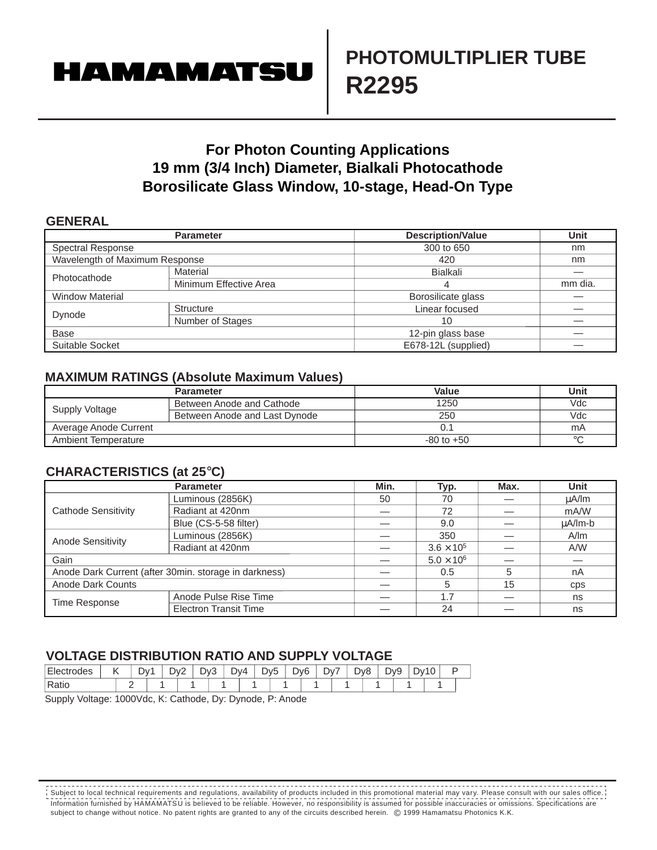# **HAMAMATSU**

## **PHOTOMULTIPLIER TUBE R2295**

### **For Photon Counting Applications 19 mm (3/4 Inch) Diameter, Bialkali Photocathode Borosilicate Glass Window, 10-stage, Head-On Type**

#### **GENERAL**

|                                | <b>Parameter</b>       | <b>Description/Value</b> | <b>Unit</b> |  |  |  |
|--------------------------------|------------------------|--------------------------|-------------|--|--|--|
| <b>Spectral Response</b>       |                        | 300 to 650               | nm          |  |  |  |
| Wavelength of Maximum Response |                        | 420                      | nm          |  |  |  |
|                                | Material               | Bialkali                 |             |  |  |  |
| Photocathode                   | Minimum Effective Area | 4                        | mm dia.     |  |  |  |
| <b>Window Material</b>         |                        | Borosilicate glass       |             |  |  |  |
|                                | <b>Structure</b>       | Linear focused           |             |  |  |  |
| Dynode                         | Number of Stages       | 10<br>12-pin glass base  |             |  |  |  |
| <b>Base</b>                    |                        |                          |             |  |  |  |
| Suitable Socket                |                        | E678-12L (supplied)      |             |  |  |  |

#### **MAXIMUM RATINGS (Absolute Maximum Values)**

|                       | <b>Parameter</b>              | Value          | Unit    |
|-----------------------|-------------------------------|----------------|---------|
|                       | Between Anode and Cathode     | 1250           | Vdc     |
| Supply Voltage        | Between Anode and Last Dynode | 250            | Vdc     |
| Average Anode Current |                               |                | mA      |
| Ambient Temperature   |                               | $-80$ to $+50$ | $\circ$ |

#### **CHARACTERISTICS (at 25**°**C)**

|                     | <b>Parameter</b>                                      | Min. | Typ.                | Max. | <b>Unit</b>  |  |
|---------------------|-------------------------------------------------------|------|---------------------|------|--------------|--|
| Cathode Sensitivity | Luminous (2856K)                                      | 50   | 70                  |      | uA/lm        |  |
|                     | Radiant at 420nm                                      |      | 72                  |      | mA/W         |  |
|                     | Blue (CS-5-58 filter)                                 |      | 9.0                 |      | $\mu$ A/lm-b |  |
| Anode Sensitivity   | Luminous (2856K)                                      |      | 350                 |      | A/m          |  |
|                     | Radiant at 420nm                                      |      | $3.6 \times 10^{5}$ |      | A/W          |  |
| Gain                |                                                       |      | $5.0 \times 10^6$   |      |              |  |
|                     | Anode Dark Current (after 30min. storage in darkness) |      | 0.5                 | 5    | nA           |  |
| Anode Dark Counts   |                                                       |      |                     | 15   | <b>CDS</b>   |  |
| Time Response       | Anode Pulse Rise Time                                 |      | 1.7                 |      | ns           |  |
|                     | <b>Electron Transit Time</b>                          |      | 24                  |      | ns           |  |

#### **VOLTAGE DISTRIBUTION RATIO AND SUPPLY VOLTAGE**

| <b>Ele</b><br>™∪ues | ., | Dv | -<br>J۷ź<br>- | $\mathcal{W}$<br>J<br>ີ | DV4 | -<br>Dv5 | D <sub>v</sub> 6 | ັ | -<br>∿רי<br>້ | ້ | $\sim$<br>אענ<br>╰ | J<br>້ | JV. |  |
|---------------------|----|----|---------------|-------------------------|-----|----------|------------------|---|---------------|---|--------------------|--------|-----|--|
| Ratic               |    |    |               |                         |     |          |                  |   |               |   |                    |        |     |  |

Supply Voltage: 1000Vdc, K: Cathode, Dy: Dynode, P: Anode

Information furnished by HAMAMATSU is believed to be reliable. However, no responsibility is assumed for possible inaccuracies or omissions. Specifications are subject to change without notice. No patent rights are granted to any of the circuits described herein. © 1999 Hamamatsu Photonics K.K. Subject to local technical requirements and regulations, availability of products included in this promotional material may vary. Please consult with our sales office.